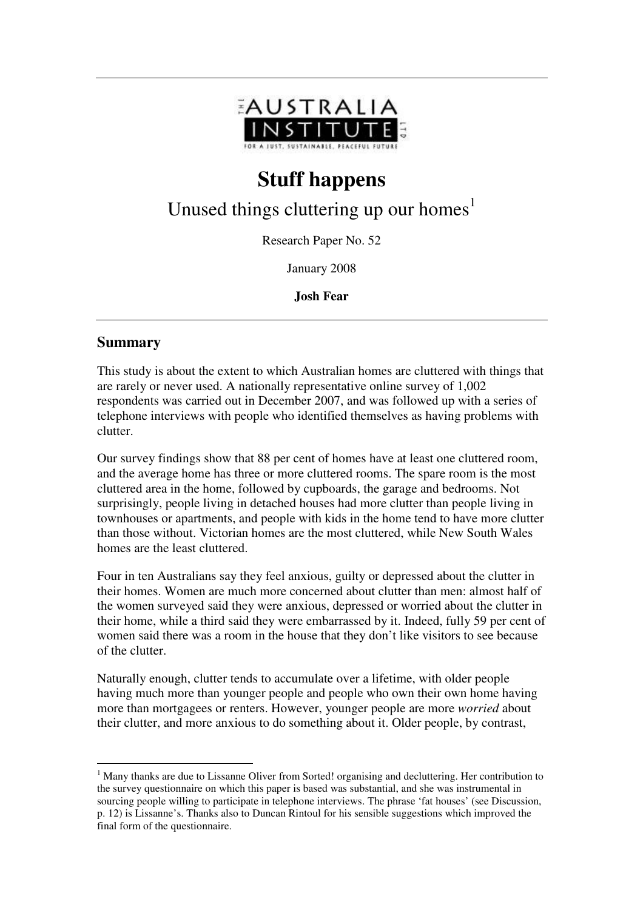

# **Stuff happens**

## Unused things cluttering up our homes<sup>1</sup>

Research Paper No. 52

January 2008

**Josh Fear** 

#### **Summary**

 $\overline{a}$ 

This study is about the extent to which Australian homes are cluttered with things that are rarely or never used. A nationally representative online survey of 1,002 respondents was carried out in December 2007, and was followed up with a series of telephone interviews with people who identified themselves as having problems with clutter.

Our survey findings show that 88 per cent of homes have at least one cluttered room, and the average home has three or more cluttered rooms. The spare room is the most cluttered area in the home, followed by cupboards, the garage and bedrooms. Not surprisingly, people living in detached houses had more clutter than people living in townhouses or apartments, and people with kids in the home tend to have more clutter than those without. Victorian homes are the most cluttered, while New South Wales homes are the least cluttered.

Four in ten Australians say they feel anxious, guilty or depressed about the clutter in their homes. Women are much more concerned about clutter than men: almost half of the women surveyed said they were anxious, depressed or worried about the clutter in their home, while a third said they were embarrassed by it. Indeed, fully 59 per cent of women said there was a room in the house that they don't like visitors to see because of the clutter.

Naturally enough, clutter tends to accumulate over a lifetime, with older people having much more than younger people and people who own their own home having more than mortgagees or renters. However, younger people are more *worried* about their clutter, and more anxious to do something about it. Older people, by contrast,

<sup>&</sup>lt;sup>1</sup> Many thanks are due to Lissanne Oliver from Sorted! organising and decluttering. Her contribution to the survey questionnaire on which this paper is based was substantial, and she was instrumental in sourcing people willing to participate in telephone interviews. The phrase 'fat houses' (see Discussion, p. 12) is Lissanne's. Thanks also to Duncan Rintoul for his sensible suggestions which improved the final form of the questionnaire.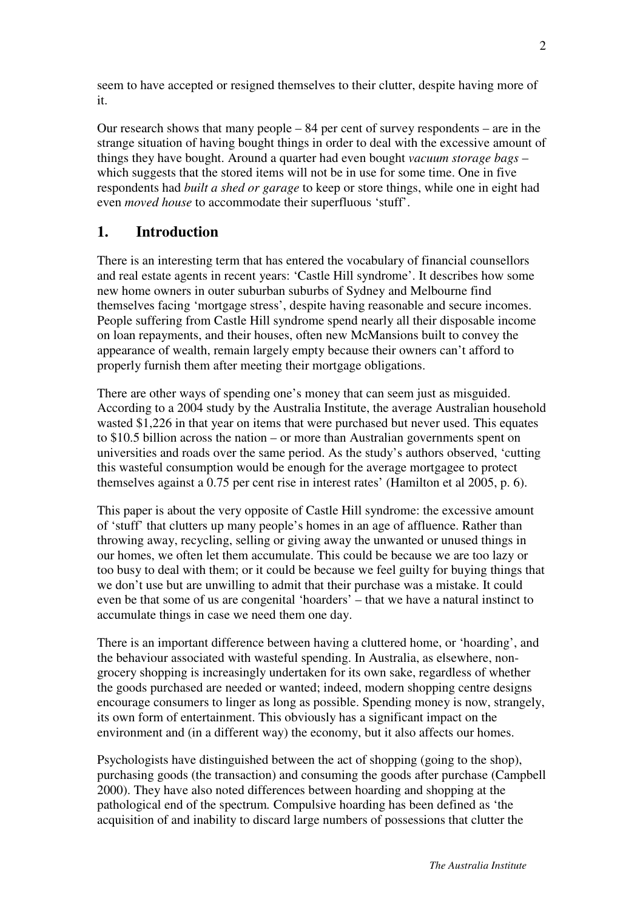seem to have accepted or resigned themselves to their clutter, despite having more of it.

Our research shows that many people – 84 per cent of survey respondents – are in the strange situation of having bought things in order to deal with the excessive amount of things they have bought. Around a quarter had even bought *vacuum storage bags* – which suggests that the stored items will not be in use for some time. One in five respondents had *built a shed or garage* to keep or store things, while one in eight had even *moved house* to accommodate their superfluous 'stuff'.

## **1. Introduction**

There is an interesting term that has entered the vocabulary of financial counsellors and real estate agents in recent years: 'Castle Hill syndrome'. It describes how some new home owners in outer suburban suburbs of Sydney and Melbourne find themselves facing 'mortgage stress', despite having reasonable and secure incomes. People suffering from Castle Hill syndrome spend nearly all their disposable income on loan repayments, and their houses, often new McMansions built to convey the appearance of wealth, remain largely empty because their owners can't afford to properly furnish them after meeting their mortgage obligations.

There are other ways of spending one's money that can seem just as misguided. According to a 2004 study by the Australia Institute, the average Australian household wasted \$1,226 in that year on items that were purchased but never used. This equates to \$10.5 billion across the nation – or more than Australian governments spent on universities and roads over the same period. As the study's authors observed, 'cutting this wasteful consumption would be enough for the average mortgagee to protect themselves against a 0.75 per cent rise in interest rates' (Hamilton et al 2005, p. 6).

This paper is about the very opposite of Castle Hill syndrome: the excessive amount of 'stuff' that clutters up many people's homes in an age of affluence. Rather than throwing away, recycling, selling or giving away the unwanted or unused things in our homes, we often let them accumulate. This could be because we are too lazy or too busy to deal with them; or it could be because we feel guilty for buying things that we don't use but are unwilling to admit that their purchase was a mistake. It could even be that some of us are congenital 'hoarders' – that we have a natural instinct to accumulate things in case we need them one day.

There is an important difference between having a cluttered home, or 'hoarding', and the behaviour associated with wasteful spending. In Australia, as elsewhere, nongrocery shopping is increasingly undertaken for its own sake, regardless of whether the goods purchased are needed or wanted; indeed, modern shopping centre designs encourage consumers to linger as long as possible. Spending money is now, strangely, its own form of entertainment. This obviously has a significant impact on the environment and (in a different way) the economy, but it also affects our homes.

Psychologists have distinguished between the act of shopping (going to the shop), purchasing goods (the transaction) and consuming the goods after purchase (Campbell 2000). They have also noted differences between hoarding and shopping at the pathological end of the spectrum*.* Compulsive hoarding has been defined as 'the acquisition of and inability to discard large numbers of possessions that clutter the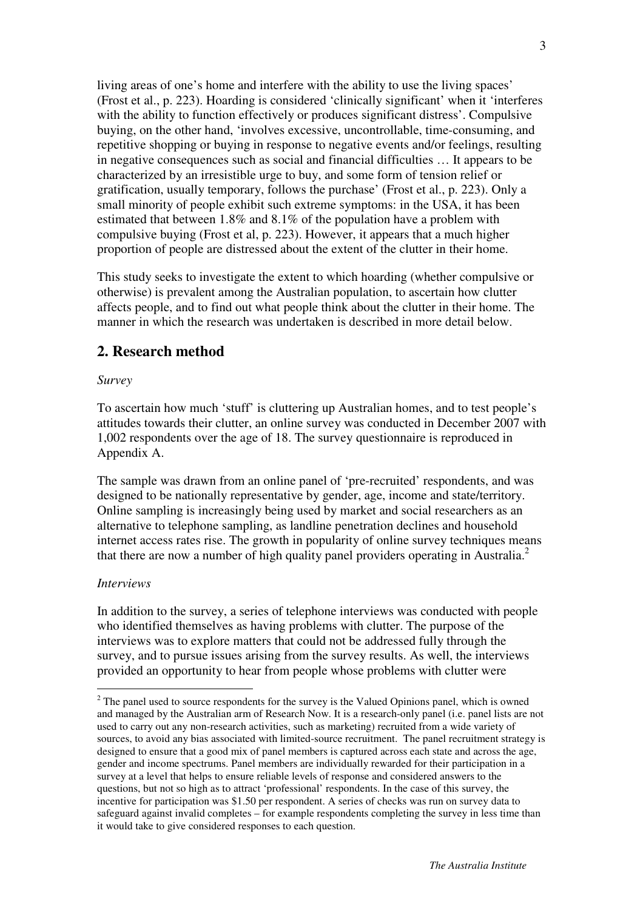living areas of one's home and interfere with the ability to use the living spaces' (Frost et al., p. 223). Hoarding is considered 'clinically significant' when it 'interferes with the ability to function effectively or produces significant distress'. Compulsive buying, on the other hand, 'involves excessive, uncontrollable, time-consuming, and repetitive shopping or buying in response to negative events and/or feelings, resulting in negative consequences such as social and financial difficulties … It appears to be characterized by an irresistible urge to buy, and some form of tension relief or gratification, usually temporary, follows the purchase' (Frost et al., p. 223). Only a small minority of people exhibit such extreme symptoms: in the USA, it has been estimated that between 1.8% and 8.1% of the population have a problem with compulsive buying (Frost et al, p. 223). However, it appears that a much higher proportion of people are distressed about the extent of the clutter in their home.

This study seeks to investigate the extent to which hoarding (whether compulsive or otherwise) is prevalent among the Australian population, to ascertain how clutter affects people, and to find out what people think about the clutter in their home. The manner in which the research was undertaken is described in more detail below.

### **2. Research method**

#### *Survey*

To ascertain how much 'stuff' is cluttering up Australian homes, and to test people's attitudes towards their clutter, an online survey was conducted in December 2007 with 1,002 respondents over the age of 18. The survey questionnaire is reproduced in Appendix A.

The sample was drawn from an online panel of 'pre-recruited' respondents, and was designed to be nationally representative by gender, age, income and state/territory. Online sampling is increasingly being used by market and social researchers as an alternative to telephone sampling, as landline penetration declines and household internet access rates rise. The growth in popularity of online survey techniques means that there are now a number of high quality panel providers operating in Australia.<sup>2</sup>

#### *Interviews*

 $\overline{a}$ 

In addition to the survey, a series of telephone interviews was conducted with people who identified themselves as having problems with clutter. The purpose of the interviews was to explore matters that could not be addressed fully through the survey, and to pursue issues arising from the survey results. As well, the interviews provided an opportunity to hear from people whose problems with clutter were

 $2^2$  The panel used to source respondents for the survey is the Valued Opinions panel, which is owned and managed by the Australian arm of Research Now. It is a research-only panel (i.e. panel lists are not used to carry out any non-research activities, such as marketing) recruited from a wide variety of sources, to avoid any bias associated with limited-source recruitment. The panel recruitment strategy is designed to ensure that a good mix of panel members is captured across each state and across the age, gender and income spectrums. Panel members are individually rewarded for their participation in a survey at a level that helps to ensure reliable levels of response and considered answers to the questions, but not so high as to attract 'professional' respondents. In the case of this survey, the incentive for participation was \$1.50 per respondent. A series of checks was run on survey data to safeguard against invalid completes – for example respondents completing the survey in less time than it would take to give considered responses to each question.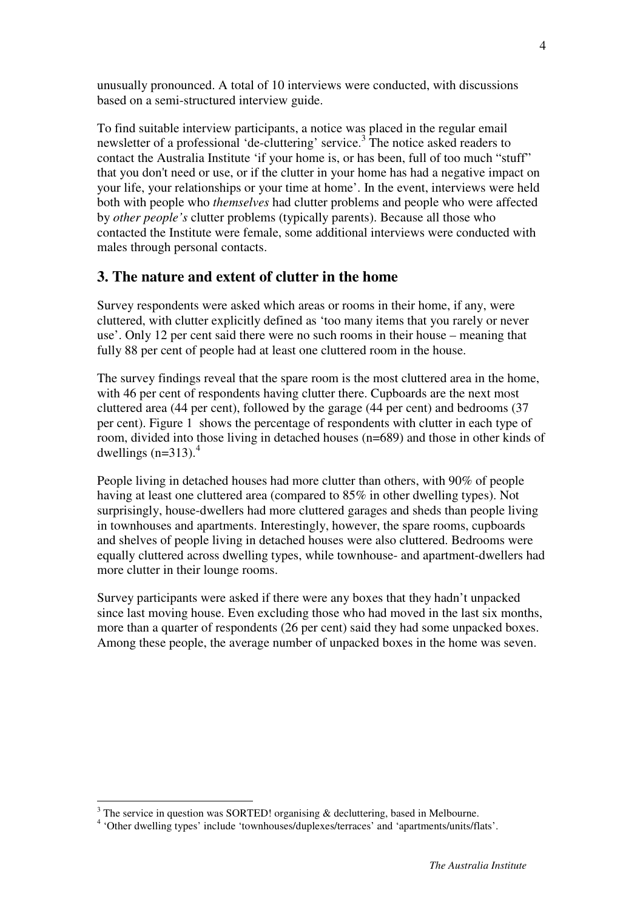unusually pronounced. A total of 10 interviews were conducted, with discussions based on a semi-structured interview guide.

To find suitable interview participants, a notice was placed in the regular email newsletter of a professional 'de-cluttering' service.<sup>3</sup> The notice asked readers to contact the Australia Institute 'if your home is, or has been, full of too much "stuff" that you don't need or use, or if the clutter in your home has had a negative impact on your life, your relationships or your time at home'. In the event, interviews were held both with people who *themselves* had clutter problems and people who were affected by *other people's* clutter problems (typically parents). Because all those who contacted the Institute were female, some additional interviews were conducted with males through personal contacts.

### **3. The nature and extent of clutter in the home**

Survey respondents were asked which areas or rooms in their home, if any, were cluttered, with clutter explicitly defined as 'too many items that you rarely or never use'. Only 12 per cent said there were no such rooms in their house – meaning that fully 88 per cent of people had at least one cluttered room in the house.

The survey findings reveal that the spare room is the most cluttered area in the home, with 46 per cent of respondents having clutter there. Cupboards are the next most cluttered area (44 per cent), followed by the garage (44 per cent) and bedrooms (37 per cent). Figure 1 shows the percentage of respondents with clutter in each type of room, divided into those living in detached houses (n=689) and those in other kinds of dwellings  $(n=313)$ .<sup>4</sup>

People living in detached houses had more clutter than others, with 90% of people having at least one cluttered area (compared to 85% in other dwelling types). Not surprisingly, house-dwellers had more cluttered garages and sheds than people living in townhouses and apartments. Interestingly, however, the spare rooms, cupboards and shelves of people living in detached houses were also cluttered. Bedrooms were equally cluttered across dwelling types, while townhouse- and apartment-dwellers had more clutter in their lounge rooms.

Survey participants were asked if there were any boxes that they hadn't unpacked since last moving house. Even excluding those who had moved in the last six months, more than a quarter of respondents (26 per cent) said they had some unpacked boxes. Among these people, the average number of unpacked boxes in the home was seven.

 $\overline{a}$  $3$  The service in question was SORTED! organising  $\&$  decluttering, based in Melbourne.

<sup>4</sup> 'Other dwelling types' include 'townhouses/duplexes/terraces' and 'apartments/units/flats'.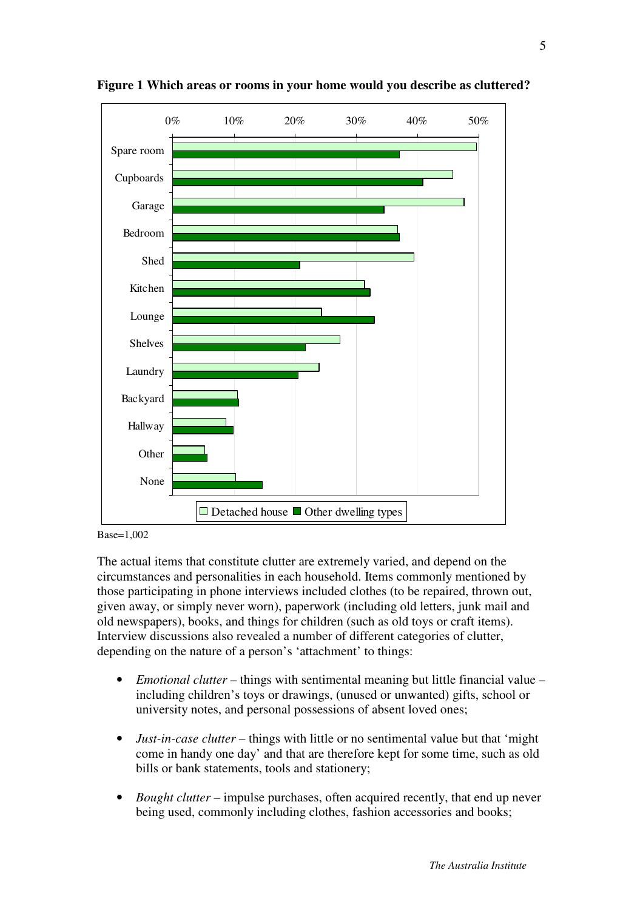

**Figure 1 Which areas or rooms in your home would you describe as cluttered?** 



The actual items that constitute clutter are extremely varied, and depend on the circumstances and personalities in each household. Items commonly mentioned by those participating in phone interviews included clothes (to be repaired, thrown out, given away, or simply never worn), paperwork (including old letters, junk mail and old newspapers), books, and things for children (such as old toys or craft items). Interview discussions also revealed a number of different categories of clutter, depending on the nature of a person's 'attachment' to things:

- *Emotional clutter* things with sentimental meaning but little financial value including children's toys or drawings, (unused or unwanted) gifts, school or university notes, and personal possessions of absent loved ones;
- *Just-in-case clutter* things with little or no sentimental value but that 'might come in handy one day' and that are therefore kept for some time, such as old bills or bank statements, tools and stationery;
- *Bought clutter* impulse purchases, often acquired recently, that end up never being used, commonly including clothes, fashion accessories and books;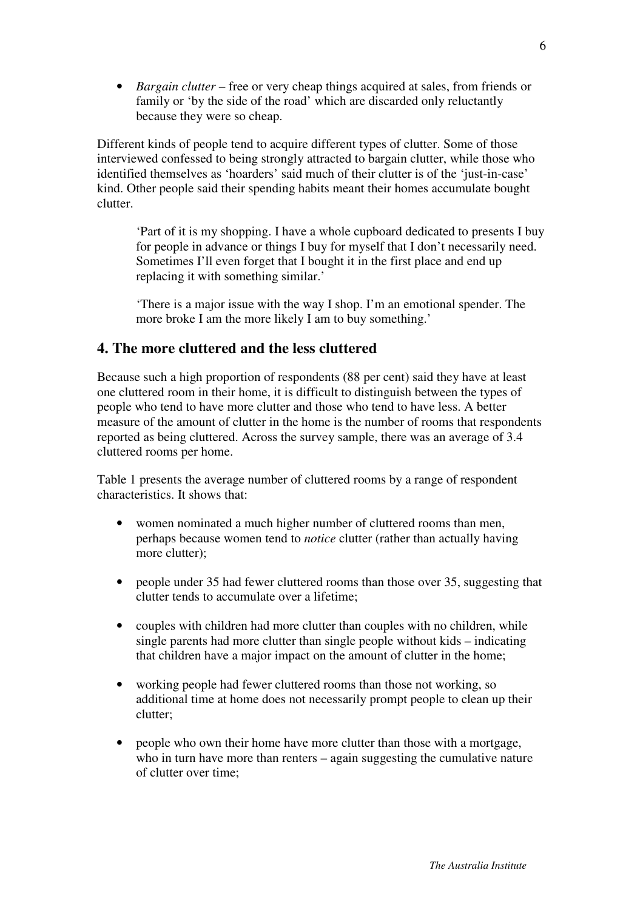• *Bargain clutter* – free or very cheap things acquired at sales, from friends or family or 'by the side of the road' which are discarded only reluctantly because they were so cheap.

Different kinds of people tend to acquire different types of clutter. Some of those interviewed confessed to being strongly attracted to bargain clutter, while those who identified themselves as 'hoarders' said much of their clutter is of the 'just-in-case' kind. Other people said their spending habits meant their homes accumulate bought clutter.

'Part of it is my shopping. I have a whole cupboard dedicated to presents I buy for people in advance or things I buy for myself that I don't necessarily need. Sometimes I'll even forget that I bought it in the first place and end up replacing it with something similar.'

'There is a major issue with the way I shop. I'm an emotional spender. The more broke I am the more likely I am to buy something.'

### **4. The more cluttered and the less cluttered**

Because such a high proportion of respondents (88 per cent) said they have at least one cluttered room in their home, it is difficult to distinguish between the types of people who tend to have more clutter and those who tend to have less. A better measure of the amount of clutter in the home is the number of rooms that respondents reported as being cluttered. Across the survey sample, there was an average of 3.4 cluttered rooms per home.

Table 1 presents the average number of cluttered rooms by a range of respondent characteristics. It shows that:

- women nominated a much higher number of cluttered rooms than men, perhaps because women tend to *notice* clutter (rather than actually having more clutter);
- people under 35 had fewer cluttered rooms than those over 35, suggesting that clutter tends to accumulate over a lifetime;
- couples with children had more clutter than couples with no children, while single parents had more clutter than single people without kids – indicating that children have a major impact on the amount of clutter in the home;
- working people had fewer cluttered rooms than those not working, so additional time at home does not necessarily prompt people to clean up their clutter;
- people who own their home have more clutter than those with a mortgage, who in turn have more than renters – again suggesting the cumulative nature of clutter over time;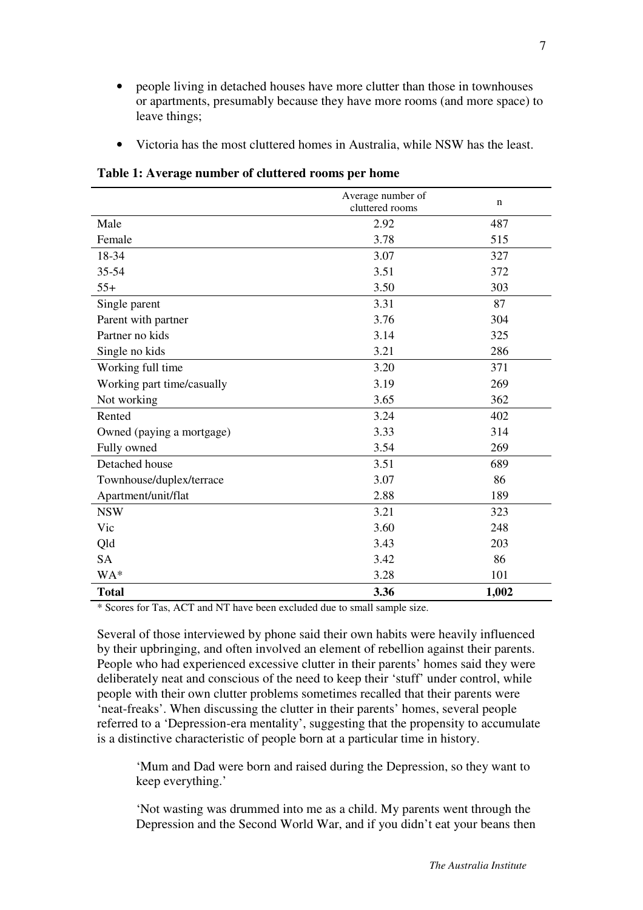- people living in detached houses have more clutter than those in townhouses or apartments, presumably because they have more rooms (and more space) to leave things;
- Victoria has the most cluttered homes in Australia, while NSW has the least.

|                            | Average number of<br>cluttered rooms | $\mathbf n$ |
|----------------------------|--------------------------------------|-------------|
| Male                       | 2.92                                 | 487         |
| Female                     | 3.78                                 | 515         |
| 18-34                      | 3.07                                 | 327         |
| 35-54                      | 3.51                                 | 372         |
| $55+$                      | 3.50                                 | 303         |
| Single parent              | 3.31                                 | 87          |
| Parent with partner        | 3.76                                 | 304         |
| Partner no kids            | 3.14                                 | 325         |
| Single no kids             | 3.21                                 | 286         |
| Working full time          | 3.20                                 | 371         |
| Working part time/casually | 3.19                                 | 269         |
| Not working                | 3.65                                 | 362         |
| Rented                     | 3.24                                 | 402         |
| Owned (paying a mortgage)  | 3.33                                 | 314         |
| Fully owned                | 3.54                                 | 269         |
| Detached house             | 3.51                                 | 689         |
| Townhouse/duplex/terrace   | 3.07                                 | 86          |
| Apartment/unit/flat        | 2.88                                 | 189         |
| <b>NSW</b>                 | 3.21                                 | 323         |
| Vic                        | 3.60                                 | 248         |
| Qld                        | 3.43                                 | 203         |
| <b>SA</b>                  | 3.42                                 | 86          |
| WA*                        | 3.28                                 | 101         |
| <b>Total</b>               | 3.36                                 | 1,002       |

**Table 1: Average number of cluttered rooms per home**

\* Scores for Tas, ACT and NT have been excluded due to small sample size.

Several of those interviewed by phone said their own habits were heavily influenced by their upbringing, and often involved an element of rebellion against their parents. People who had experienced excessive clutter in their parents' homes said they were deliberately neat and conscious of the need to keep their 'stuff' under control, while people with their own clutter problems sometimes recalled that their parents were 'neat-freaks'. When discussing the clutter in their parents' homes, several people referred to a 'Depression-era mentality', suggesting that the propensity to accumulate is a distinctive characteristic of people born at a particular time in history.

'Mum and Dad were born and raised during the Depression, so they want to keep everything.'

'Not wasting was drummed into me as a child. My parents went through the Depression and the Second World War, and if you didn't eat your beans then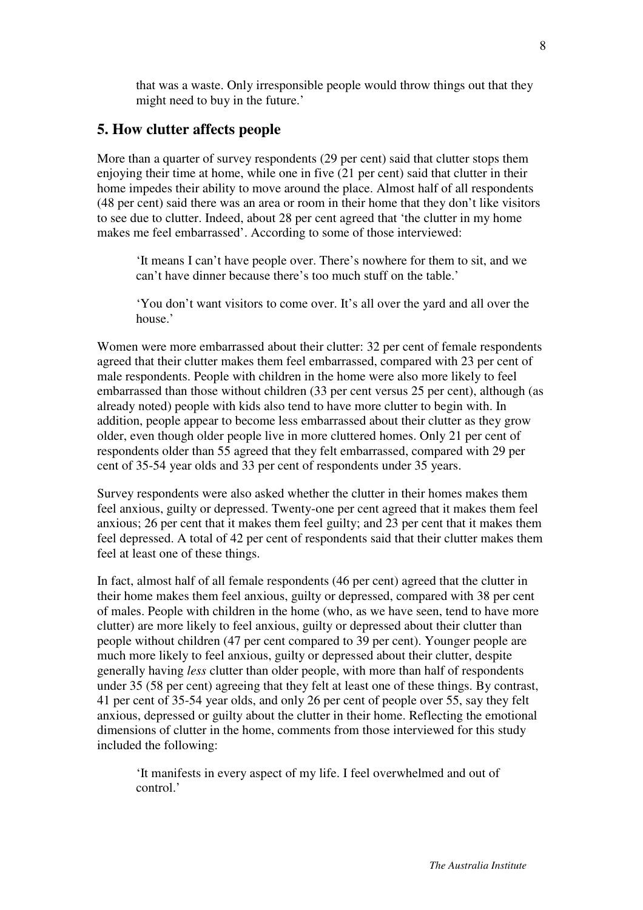that was a waste. Only irresponsible people would throw things out that they might need to buy in the future.'

#### **5. How clutter affects people**

More than a quarter of survey respondents (29 per cent) said that clutter stops them enjoying their time at home, while one in five (21 per cent) said that clutter in their home impedes their ability to move around the place. Almost half of all respondents (48 per cent) said there was an area or room in their home that they don't like visitors to see due to clutter. Indeed, about 28 per cent agreed that 'the clutter in my home makes me feel embarrassed'. According to some of those interviewed:

'It means I can't have people over. There's nowhere for them to sit, and we can't have dinner because there's too much stuff on the table.'

'You don't want visitors to come over. It's all over the yard and all over the house,

Women were more embarrassed about their clutter: 32 per cent of female respondents agreed that their clutter makes them feel embarrassed, compared with 23 per cent of male respondents. People with children in the home were also more likely to feel embarrassed than those without children (33 per cent versus 25 per cent), although (as already noted) people with kids also tend to have more clutter to begin with. In addition, people appear to become less embarrassed about their clutter as they grow older, even though older people live in more cluttered homes. Only 21 per cent of respondents older than 55 agreed that they felt embarrassed, compared with 29 per cent of 35-54 year olds and 33 per cent of respondents under 35 years.

Survey respondents were also asked whether the clutter in their homes makes them feel anxious, guilty or depressed. Twenty-one per cent agreed that it makes them feel anxious; 26 per cent that it makes them feel guilty; and 23 per cent that it makes them feel depressed. A total of 42 per cent of respondents said that their clutter makes them feel at least one of these things.

In fact, almost half of all female respondents (46 per cent) agreed that the clutter in their home makes them feel anxious, guilty or depressed, compared with 38 per cent of males. People with children in the home (who, as we have seen, tend to have more clutter) are more likely to feel anxious, guilty or depressed about their clutter than people without children (47 per cent compared to 39 per cent). Younger people are much more likely to feel anxious, guilty or depressed about their clutter, despite generally having *less* clutter than older people, with more than half of respondents under 35 (58 per cent) agreeing that they felt at least one of these things. By contrast, 41 per cent of 35-54 year olds, and only 26 per cent of people over 55, say they felt anxious, depressed or guilty about the clutter in their home. Reflecting the emotional dimensions of clutter in the home, comments from those interviewed for this study included the following:

'It manifests in every aspect of my life. I feel overwhelmed and out of control.'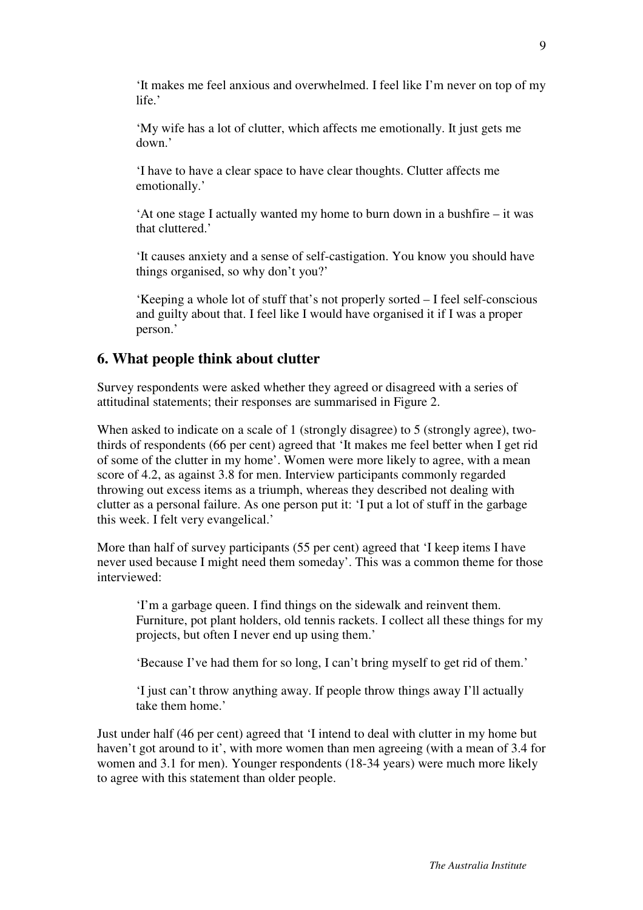'It makes me feel anxious and overwhelmed. I feel like I'm never on top of my life.'

'My wife has a lot of clutter, which affects me emotionally. It just gets me down.'

'I have to have a clear space to have clear thoughts. Clutter affects me emotionally.'

'At one stage I actually wanted my home to burn down in a bushfire – it was that cluttered.'

'It causes anxiety and a sense of self-castigation. You know you should have things organised, so why don't you?'

'Keeping a whole lot of stuff that's not properly sorted – I feel self-conscious and guilty about that. I feel like I would have organised it if I was a proper person.'

### **6. What people think about clutter**

Survey respondents were asked whether they agreed or disagreed with a series of attitudinal statements; their responses are summarised in Figure 2.

When asked to indicate on a scale of 1 (strongly disagree) to 5 (strongly agree), twothirds of respondents (66 per cent) agreed that 'It makes me feel better when I get rid of some of the clutter in my home'. Women were more likely to agree, with a mean score of 4.2, as against 3.8 for men. Interview participants commonly regarded throwing out excess items as a triumph, whereas they described not dealing with clutter as a personal failure. As one person put it: 'I put a lot of stuff in the garbage this week. I felt very evangelical.'

More than half of survey participants (55 per cent) agreed that 'I keep items I have never used because I might need them someday'. This was a common theme for those interviewed:

'I'm a garbage queen. I find things on the sidewalk and reinvent them. Furniture, pot plant holders, old tennis rackets. I collect all these things for my projects, but often I never end up using them.'

'Because I've had them for so long, I can't bring myself to get rid of them.'

'I just can't throw anything away. If people throw things away I'll actually take them home.'

Just under half (46 per cent) agreed that 'I intend to deal with clutter in my home but haven't got around to it', with more women than men agreeing (with a mean of 3.4 for women and 3.1 for men). Younger respondents (18-34 years) were much more likely to agree with this statement than older people.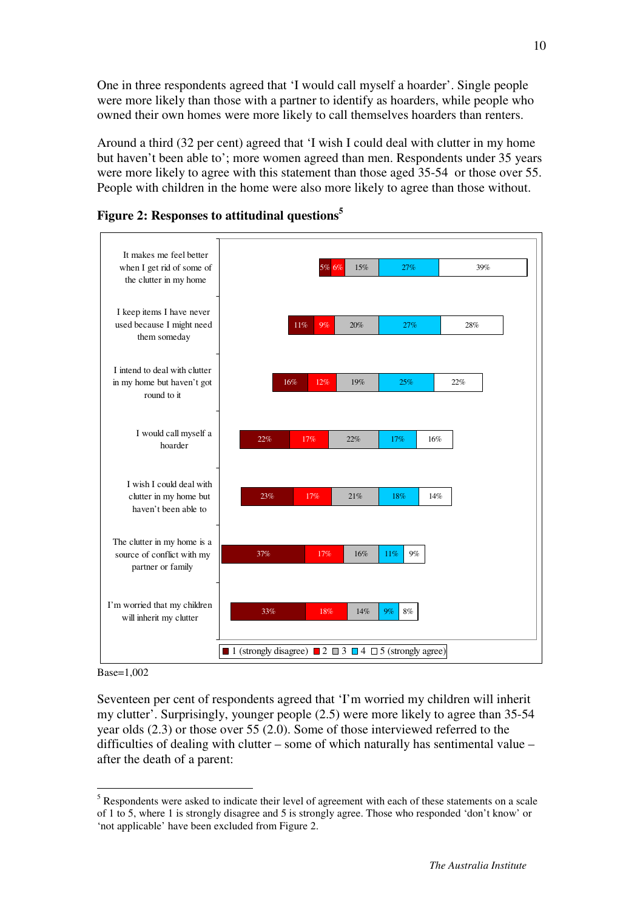One in three respondents agreed that 'I would call myself a hoarder'. Single people were more likely than those with a partner to identify as hoarders, while people who owned their own homes were more likely to call themselves hoarders than renters.

Around a third (32 per cent) agreed that 'I wish I could deal with clutter in my home but haven't been able to'; more women agreed than men. Respondents under 35 years were more likely to agree with this statement than those aged 35-54 or those over 55. People with children in the home were also more likely to agree than those without.



#### **Figure 2: Responses to attitudinal questions<sup>5</sup>**

Base=1,002

 $\overline{a}$ 

Seventeen per cent of respondents agreed that 'I'm worried my children will inherit my clutter'. Surprisingly, younger people (2.5) were more likely to agree than 35-54 year olds (2.3) or those over 55 (2.0). Some of those interviewed referred to the difficulties of dealing with clutter – some of which naturally has sentimental value – after the death of a parent:

 $<sup>5</sup>$  Respondents were asked to indicate their level of agreement with each of these statements on a scale</sup> of 1 to 5, where 1 is strongly disagree and 5 is strongly agree. Those who responded 'don't know' or 'not applicable' have been excluded from Figure 2.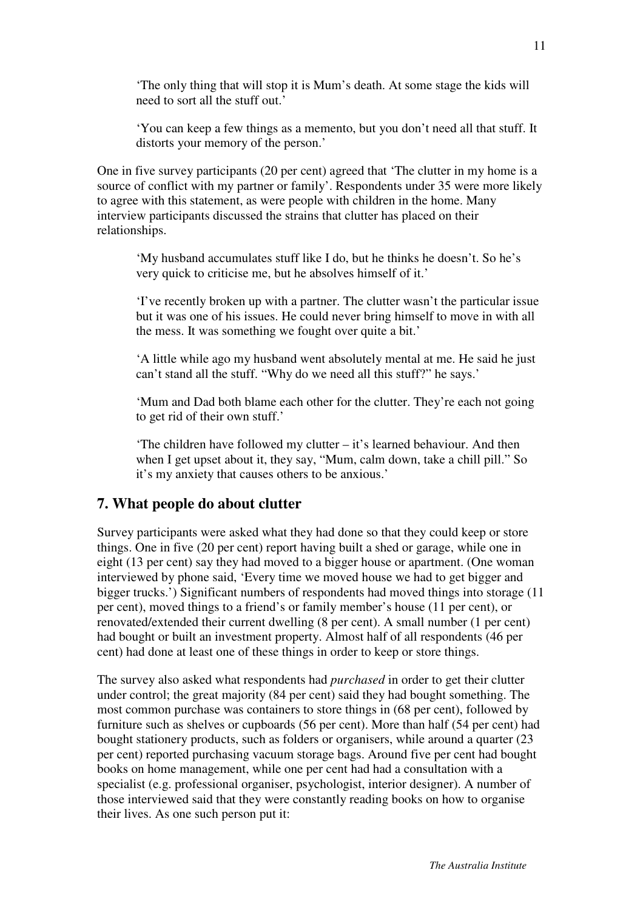'The only thing that will stop it is Mum's death. At some stage the kids will need to sort all the stuff out.'

'You can keep a few things as a memento, but you don't need all that stuff. It distorts your memory of the person.'

One in five survey participants (20 per cent) agreed that 'The clutter in my home is a source of conflict with my partner or family'. Respondents under 35 were more likely to agree with this statement, as were people with children in the home. Many interview participants discussed the strains that clutter has placed on their relationships.

'My husband accumulates stuff like I do, but he thinks he doesn't. So he's very quick to criticise me, but he absolves himself of it.'

'I've recently broken up with a partner. The clutter wasn't the particular issue but it was one of his issues. He could never bring himself to move in with all the mess. It was something we fought over quite a bit.'

'A little while ago my husband went absolutely mental at me. He said he just can't stand all the stuff. "Why do we need all this stuff?" he says.'

'Mum and Dad both blame each other for the clutter. They're each not going to get rid of their own stuff.'

'The children have followed my clutter – it's learned behaviour. And then when I get upset about it, they say, "Mum, calm down, take a chill pill." So it's my anxiety that causes others to be anxious.'

### **7. What people do about clutter**

Survey participants were asked what they had done so that they could keep or store things. One in five (20 per cent) report having built a shed or garage, while one in eight (13 per cent) say they had moved to a bigger house or apartment. (One woman interviewed by phone said, 'Every time we moved house we had to get bigger and bigger trucks.') Significant numbers of respondents had moved things into storage (11 per cent), moved things to a friend's or family member's house (11 per cent), or renovated/extended their current dwelling (8 per cent). A small number (1 per cent) had bought or built an investment property. Almost half of all respondents (46 per cent) had done at least one of these things in order to keep or store things.

The survey also asked what respondents had *purchased* in order to get their clutter under control; the great majority (84 per cent) said they had bought something. The most common purchase was containers to store things in (68 per cent), followed by furniture such as shelves or cupboards (56 per cent). More than half (54 per cent) had bought stationery products, such as folders or organisers, while around a quarter (23 per cent) reported purchasing vacuum storage bags. Around five per cent had bought books on home management, while one per cent had had a consultation with a specialist (e.g. professional organiser, psychologist, interior designer). A number of those interviewed said that they were constantly reading books on how to organise their lives. As one such person put it: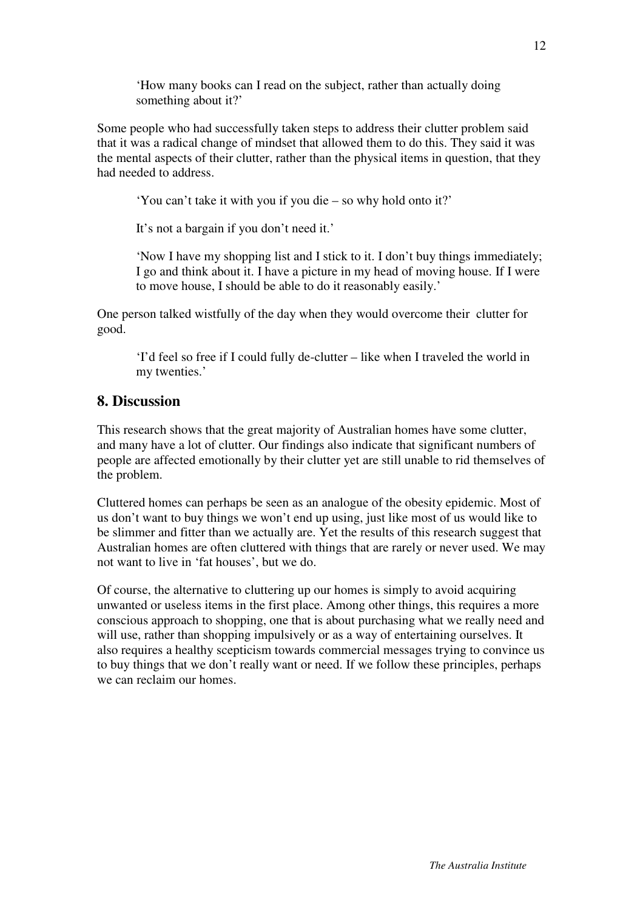'How many books can I read on the subject, rather than actually doing something about it?'

Some people who had successfully taken steps to address their clutter problem said that it was a radical change of mindset that allowed them to do this. They said it was the mental aspects of their clutter, rather than the physical items in question, that they had needed to address.

'You can't take it with you if you die – so why hold onto it?'

It's not a bargain if you don't need it.'

'Now I have my shopping list and I stick to it. I don't buy things immediately; I go and think about it. I have a picture in my head of moving house. If I were to move house, I should be able to do it reasonably easily.'

One person talked wistfully of the day when they would overcome their clutter for good.

'I'd feel so free if I could fully de-clutter – like when I traveled the world in my twenties.'

#### **8. Discussion**

This research shows that the great majority of Australian homes have some clutter, and many have a lot of clutter. Our findings also indicate that significant numbers of people are affected emotionally by their clutter yet are still unable to rid themselves of the problem.

Cluttered homes can perhaps be seen as an analogue of the obesity epidemic. Most of us don't want to buy things we won't end up using, just like most of us would like to be slimmer and fitter than we actually are. Yet the results of this research suggest that Australian homes are often cluttered with things that are rarely or never used. We may not want to live in 'fat houses', but we do.

Of course, the alternative to cluttering up our homes is simply to avoid acquiring unwanted or useless items in the first place. Among other things, this requires a more conscious approach to shopping, one that is about purchasing what we really need and will use, rather than shopping impulsively or as a way of entertaining ourselves. It also requires a healthy scepticism towards commercial messages trying to convince us to buy things that we don't really want or need. If we follow these principles, perhaps we can reclaim our homes.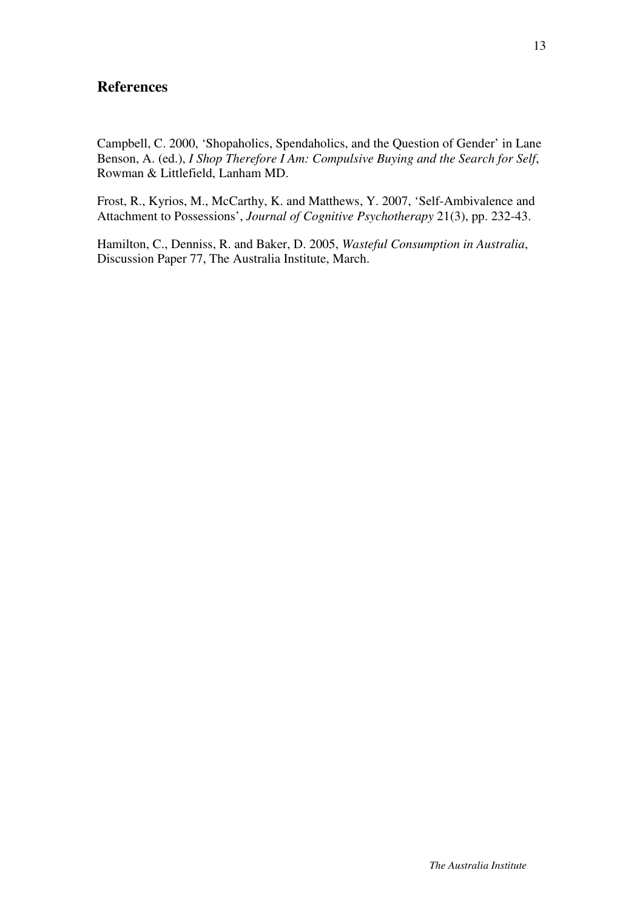#### **References**

Campbell, C. 2000, 'Shopaholics, Spendaholics, and the Question of Gender' in Lane Benson, A. (ed.), *I Shop Therefore I Am: Compulsive Buying and the Search for Self*, Rowman & Littlefield, Lanham MD.

Frost, R., Kyrios, M., McCarthy, K. and Matthews, Y. 2007, 'Self-Ambivalence and Attachment to Possessions', *Journal of Cognitive Psychotherapy* 21(3), pp. 232-43.

Hamilton, C., Denniss, R. and Baker, D. 2005, *Wasteful Consumption in Australia*, Discussion Paper 77, The Australia Institute, March.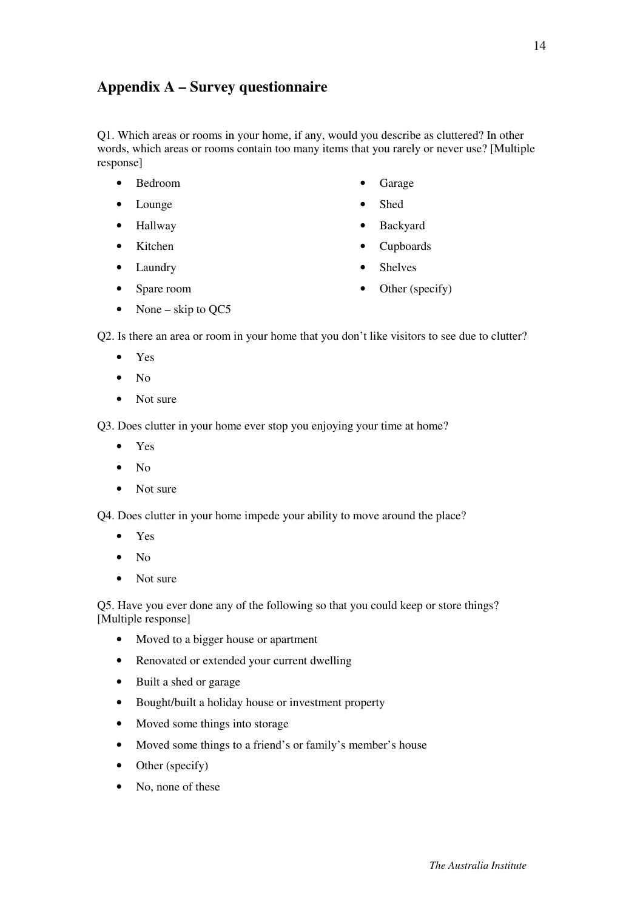## **Appendix A – Survey questionnaire**

Q1. Which areas or rooms in your home, if any, would you describe as cluttered? In other words, which areas or rooms contain too many items that you rarely or never use? [Multiple response]

- Bedroom
- Lounge
- Hallway
- Kitchen
- Laundry
	-
- **Garage**
- Shed
- Backyard
- Cupboards
- **Shelves**

• Spare room

Other (specify)

• None – skip to  $QC5$ 

Q2. Is there an area or room in your home that you don't like visitors to see due to clutter?

- Yes
- $\bullet$  No
- Not sure

Q3. Does clutter in your home ever stop you enjoying your time at home?

- Yes
- No
- Not sure

Q4. Does clutter in your home impede your ability to move around the place?

- Yes
- No
- Not sure

Q5. Have you ever done any of the following so that you could keep or store things? [Multiple response]

- Moved to a bigger house or apartment
- Renovated or extended your current dwelling
- Built a shed or garage
- Bought/built a holiday house or investment property
- Moved some things into storage
- Moved some things to a friend's or family's member's house
- Other (specify)
- No, none of these